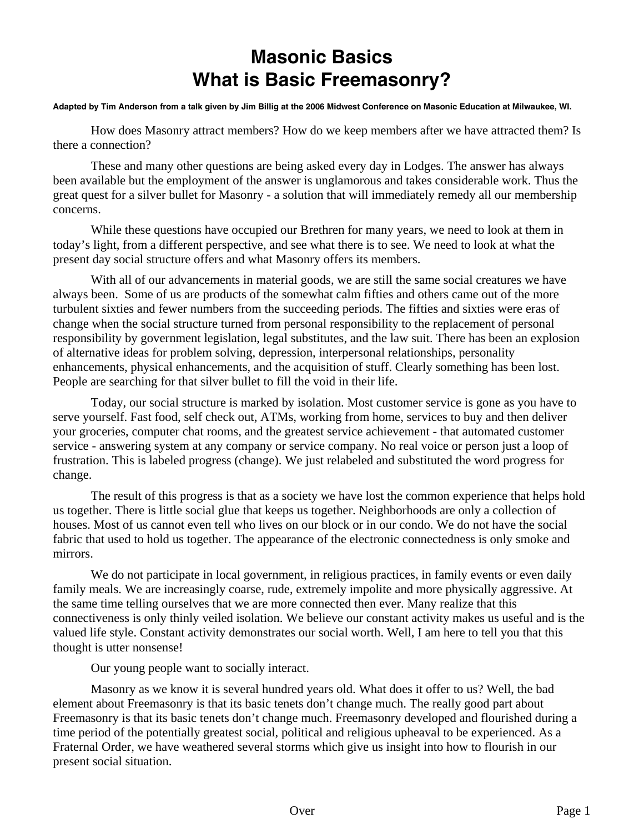## **Masonic Basics What is Basic Freemasonry?**

## **Adapted by Tim Anderson from a talk given by Jim Billig at the 2006 Midwest Conference on Masonic Education at Milwaukee, WI.**

How does Masonry attract members? How do we keep members after we have attracted them? Is there a connection?

 These and many other questions are being asked every day in Lodges. The answer has always been available but the employment of the answer is unglamorous and takes considerable work. Thus the great quest for a silver bullet for Masonry - a solution that will immediately remedy all our membership concerns.

 While these questions have occupied our Brethren for many years, we need to look at them in today's light, from a different perspective, and see what there is to see. We need to look at what the present day social structure offers and what Masonry offers its members.

With all of our advancements in material goods, we are still the same social creatures we have always been. Some of us are products of the somewhat calm fifties and others came out of the more turbulent sixties and fewer numbers from the succeeding periods. The fifties and sixties were eras of change when the social structure turned from personal responsibility to the replacement of personal responsibility by government legislation, legal substitutes, and the law suit. There has been an explosion of alternative ideas for problem solving, depression, interpersonal relationships, personality enhancements, physical enhancements, and the acquisition of stuff. Clearly something has been lost. People are searching for that silver bullet to fill the void in their life.

 Today, our social structure is marked by isolation. Most customer service is gone as you have to serve yourself. Fast food, self check out, ATMs, working from home, services to buy and then deliver your groceries, computer chat rooms, and the greatest service achievement - that automated customer service - answering system at any company or service company. No real voice or person just a loop of frustration. This is labeled progress (change). We just relabeled and substituted the word progress for change.

 The result of this progress is that as a society we have lost the common experience that helps hold us together. There is little social glue that keeps us together. Neighborhoods are only a collection of houses. Most of us cannot even tell who lives on our block or in our condo. We do not have the social fabric that used to hold us together. The appearance of the electronic connectedness is only smoke and mirrors.

We do not participate in local government, in religious practices, in family events or even daily family meals. We are increasingly coarse, rude, extremely impolite and more physically aggressive. At the same time telling ourselves that we are more connected then ever. Many realize that this connectiveness is only thinly veiled isolation. We believe our constant activity makes us useful and is the valued life style. Constant activity demonstrates our social worth. Well, I am here to tell you that this thought is utter nonsense!

Our young people want to socially interact.

 Masonry as we know it is several hundred years old. What does it offer to us? Well, the bad element about Freemasonry is that its basic tenets don't change much. The really good part about Freemasonry is that its basic tenets don't change much. Freemasonry developed and flourished during a time period of the potentially greatest social, political and religious upheaval to be experienced. As a Fraternal Order, we have weathered several storms which give us insight into how to flourish in our present social situation.